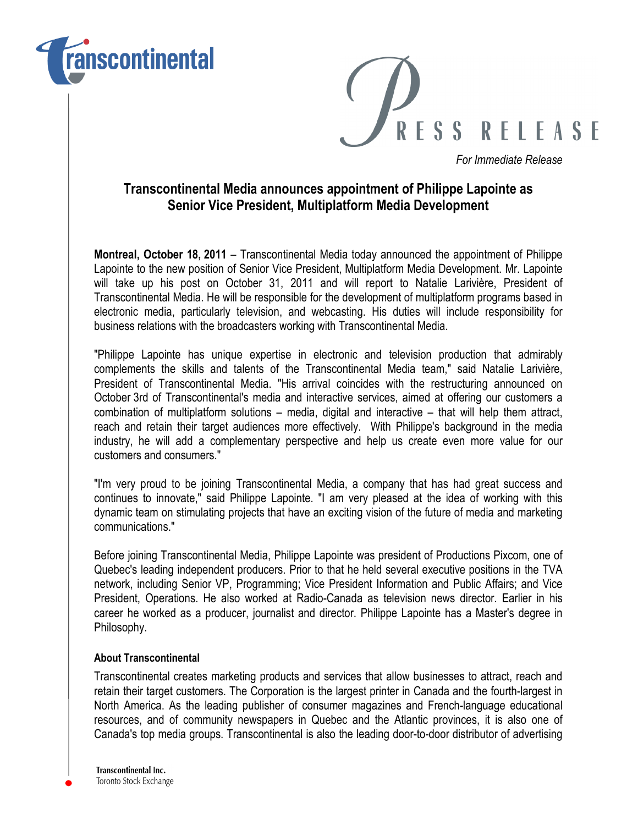



For Immediate Release

## Transcontinental Media announces appointment of Philippe Lapointe as Senior Vice President, Multiplatform Media Development

Montreal, October 18, 2011 – Transcontinental Media today announced the appointment of Philippe Lapointe to the new position of Senior Vice President, Multiplatform Media Development. Mr. Lapointe will take up his post on October 31, 2011 and will report to Natalie Larivière, President of Transcontinental Media. He will be responsible for the development of multiplatform programs based in electronic media, particularly television, and webcasting. His duties will include responsibility for business relations with the broadcasters working with Transcontinental Media.

"Philippe Lapointe has unique expertise in electronic and television production that admirably complements the skills and talents of the Transcontinental Media team," said Natalie Larivière, President of Transcontinental Media. "His arrival coincides with the restructuring announced on October 3rd of Transcontinental's media and interactive services, aimed at offering our customers a combination of multiplatform solutions – media, digital and interactive – that will help them attract, reach and retain their target audiences more effectively. With Philippe's background in the media industry, he will add a complementary perspective and help us create even more value for our customers and consumers."

"I'm very proud to be joining Transcontinental Media, a company that has had great success and continues to innovate," said Philippe Lapointe. "I am very pleased at the idea of working with this dynamic team on stimulating projects that have an exciting vision of the future of media and marketing communications."

Before joining Transcontinental Media, Philippe Lapointe was president of Productions Pixcom, one of Quebec's leading independent producers. Prior to that he held several executive positions in the TVA network, including Senior VP, Programming; Vice President Information and Public Affairs; and Vice President, Operations. He also worked at Radio-Canada as television news director. Earlier in his career he worked as a producer, journalist and director. Philippe Lapointe has a Master's degree in Philosophy.

## About Transcontinental

Transcontinental creates marketing products and services that allow businesses to attract, reach and retain their target customers. The Corporation is the largest printer in Canada and the fourth-largest in North America. As the leading publisher of consumer magazines and French-language educational resources, and of community newspapers in Quebec and the Atlantic provinces, it is also one of Canada's top media groups. Transcontinental is also the leading door-to-door distributor of advertising